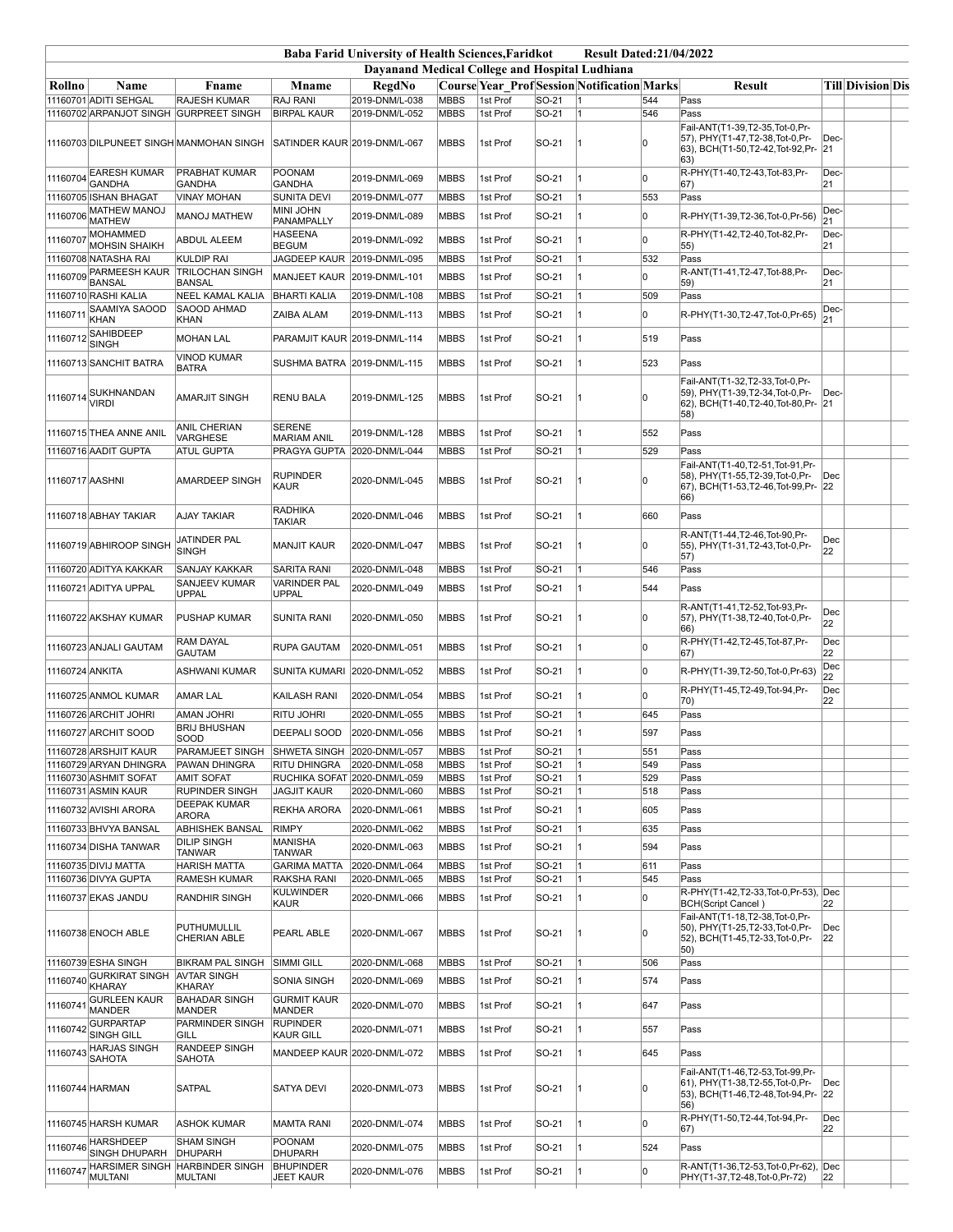|                 |                                          |                                              |                                     | <b>Baba Farid University of Health Sciences, Faridkot</b> |             |          |        | <b>Result Dated:21/04/2022</b>                     |     |                                                                                                                   |             |                   |  |
|-----------------|------------------------------------------|----------------------------------------------|-------------------------------------|-----------------------------------------------------------|-------------|----------|--------|----------------------------------------------------|-----|-------------------------------------------------------------------------------------------------------------------|-------------|-------------------|--|
|                 |                                          |                                              |                                     | Davanand Medical College and Hospital Ludhiana            |             |          |        |                                                    |     |                                                                                                                   |             |                   |  |
| Rollno          | Name                                     | Fname                                        | <b>Mname</b>                        | RegdNo                                                    |             |          |        | <b>Course Year Prof Session Notification Marks</b> |     | <b>Result</b>                                                                                                     |             | Till Division Dis |  |
|                 | 11160701 ADITI SEHGAL                    | <b>RAJESH KUMAR</b>                          | RAJ RANI                            | 2019-DNM/L-038                                            | <b>MBBS</b> | 1st Prof | SO-21  | 11                                                 | 544 | Pass                                                                                                              |             |                   |  |
|                 |                                          | 11160702 ARPANJOT SINGH GURPREET SINGH       | <b>BIRPAL KAUR</b>                  | 2019-DNM/L-052                                            | <b>MBBS</b> | 1st Prof | SO-21  | 11                                                 | 546 | Pass<br>Fail-ANT(T1-39,T2-35,Tot-0,Pr-                                                                            |             |                   |  |
|                 |                                          | 11160703 DILPUNEET SINGH MANMOHAN SINGH      | SATINDER KAUR 2019-DNM/L-067        |                                                           | <b>MBBS</b> | 1st Prof | SO-21  |                                                    |     | 57), PHY(T1-47,T2-38,Tot-0,Pr-<br>63), BCH(T1-50,T2-42,Tot-92,Pr-<br>$ 63\rangle$                                 | Dec-<br> 21 |                   |  |
|                 | 11160704 EARESH KUMAR<br><b>GANDHA</b>   | PRABHAT KUMAR                                | POONAM                              | 2019-DNM/L-069                                            | <b>MBBS</b> | 1st Prof | SO-21  |                                                    | l٥  | R-PHY(T1-40,T2-43,Tot-83,Pr-                                                                                      | Dec-        |                   |  |
|                 | 11160705 ISHAN BHAGAT                    | <b>GANDHA</b><br><b>VINAY MOHAN</b>          | <b>GANDHA</b><br><b>SUNITA DEVI</b> | 2019-DNM/L-077                                            | <b>MBBS</b> | 1st Prof | SO-21  |                                                    | 553 | 67)<br>Pass                                                                                                       | 21          |                   |  |
| 11160706        | <b>MATHEW MANOJ</b>                      | <b>MANOJ MATHEW</b>                          | MINI JOHN                           | 2019-DNM/L-089                                            | <b>MBBS</b> | 1st Prof | SO-21  |                                                    | 0   |                                                                                                                   | Dec-        |                   |  |
|                 | <b>MATHEW</b>                            |                                              | PANAMPALLY                          |                                                           |             |          |        |                                                    |     | R-PHY(T1-39,T2-36,Tot-0,Pr-56)                                                                                    | 21          |                   |  |
| 11160707        | MOHAMMED<br><b>MOHSIN SHAIKH</b>         | <b>ABDUL ALEEM</b>                           | <b>HASEENA</b><br><b>BEGUM</b>      | 2019-DNM/L-092                                            | <b>MBBS</b> | 1st Prof | SO-21  |                                                    | O   | R-PHY(T1-42.T2-40.Tot-82.Pr-<br>55)                                                                               | Dec-<br> 21 |                   |  |
|                 | 11160708 NATASHA RAI                     | <b>KULDIP RAI</b>                            | JAGDEEP KAUR 2019-DNM/L-095         |                                                           | <b>MBBS</b> | 1st Prof | SO-21  | 1                                                  | 532 | Pass                                                                                                              |             |                   |  |
|                 | 11160709 PARMEESH KAUR                   | <b>TRILOCHAN SINGH</b>                       | MANJEET KAUR 2019-DNM/L-101         |                                                           | <b>MBBS</b> | 1st Prof | SO-21  |                                                    | U   | R-ANT(T1-41,T2-47,Tot-88,Pr-                                                                                      | Dec-        |                   |  |
|                 | <b>BANSAL</b><br>11160710 RASHI KALIA    | <b>BANSAL</b><br><b>NEEL KAMAL KALIA</b>     | <b>BHARTI KALIA</b>                 | 2019-DNM/L-108                                            | <b>MBBS</b> | 1st Prof | SO-21  | 11                                                 | 509 | 59)<br>Pass                                                                                                       | 21          |                   |  |
| 1116071         | SAAMIYA SAOOD                            | SAOOD AHMAD                                  | ZAIBA ALAM                          | 2019-DNM/L-113                                            | <b>MBBS</b> | 1st Prof | SO-21  |                                                    | U   | R-PHY(T1-30,T2-47,Tot-0,Pr-65)                                                                                    | Dec-        |                   |  |
|                 | KHAN                                     | <b>KHAN</b>                                  |                                     |                                                           |             |          |        |                                                    |     |                                                                                                                   | 21          |                   |  |
| 11160712        | SAHIBDEEP<br><b>SINGH</b>                | <b>MOHAN LAL</b>                             | PARAMJIT KAUR 2019-DNM/L-114        |                                                           | <b>MBBS</b> | 1st Prof | SO-21  |                                                    | 519 | Pass                                                                                                              |             |                   |  |
|                 | 11160713 SANCHIT BATRA                   | <b>VINOD KUMAR</b>                           | SUSHMA BATRA 2019-DNM/L-115         |                                                           | <b>MBBS</b> | 1st Prof | SO-21  |                                                    | 523 | Pass                                                                                                              |             |                   |  |
|                 |                                          | <b>BATRA</b>                                 |                                     |                                                           |             |          |        |                                                    |     | Fail-ANT(T1-32,T2-33,Tot-0,Pr-                                                                                    |             |                   |  |
|                 | 11160714<br>VIRDI                        | AMARJIT SINGH                                | <b>RENU BALA</b>                    | 2019-DNM/L-125                                            | <b>MBBS</b> | 1st Prof | SO-21  |                                                    |     | 59), PHY(T1-39,T2-34,Tot-0,Pr-<br>62), BCH(T1-40,T2-40,Tot-80,Pr- 21<br>58)                                       | $ Dec- $    |                   |  |
|                 | 11160715 THEA ANNE ANIL                  | ANIL CHERIAN<br><b>VARGHESE</b>              | <b>SERENE</b><br><b>MARIAM ANIL</b> | 2019-DNM/L-128                                            | <b>MBBS</b> | 1st Prof | SO-21  |                                                    | 552 | Pass                                                                                                              |             |                   |  |
|                 | 11160716 AADIT GUPTA                     | <b>ATUL GUPTA</b>                            | PRAGYA GUPTA 2020-DNM/L-044         |                                                           | <b>MBBS</b> | 1st Prof | SO-21  | 11                                                 | 529 | Pass                                                                                                              |             |                   |  |
| 11160717 AASHNI |                                          | AMARDEEP SINGH                               | RUPINDER<br>KAUR                    | 2020-DNM/L-045                                            | <b>MBBS</b> | 1st Prof | SO-21  |                                                    | l∩  | Fail-ANT(T1-40,T2-51,Tot-91,Pr-<br>58), PHY(T1-55,T2-39,Tot-0,Pr-<br>67), BCH(T1-53,T2-46,Tot-99,Pr-<br>66)       | Dec<br>22   |                   |  |
|                 | 11160718 ABHAY TAKIAR                    | <b>AJAY TAKIAR</b>                           | <b>RADHIKA</b><br><b>TAKIAR</b>     | 2020-DNM/L-046                                            | <b>MBBS</b> | 1st Prof | SO-21  |                                                    | 660 | Pass                                                                                                              |             |                   |  |
|                 | 11160719 ABHIROOP SINGH                  | JATINDER PAL<br>SINGH                        | <b>MANJIT KAUR</b>                  | 2020-DNM/L-047                                            | MBBS        | 1st Prof | SO-21  |                                                    | l٥  | R-ANT(T1-44,T2-46,Tot-90,Pr-<br>55), PHY(T1-31,T2-43,Tot-0,Pr-<br>57)                                             | Dec<br>22   |                   |  |
|                 | 11160720 ADITYA KAKKAR                   | SANJAY KAKKAR                                | <b>SARITA RANI</b>                  | 2020-DNM/L-048                                            | <b>MBBS</b> | 1st Prof | SO-21  | 1                                                  | 546 | Pass                                                                                                              |             |                   |  |
|                 | 11160721 ADITYA UPPAL                    | SANJEEV KUMAR<br><b>UPPAL</b>                | <b>VARINDER PAL</b><br><b>UPPAL</b> | 2020-DNM/L-049                                            | <b>MBBS</b> | 1st Prof | SO-21  |                                                    | 544 | Pass                                                                                                              |             |                   |  |
|                 | 11160722 AKSHAY KUMAR                    | <b>PUSHAP KUMAR</b>                          | <b>SUNITA RANI</b>                  | 2020-DNM/L-050                                            | <b>MBBS</b> | 1st Prof | SO-21  |                                                    | O   | R-ANT(T1-41,T2-52,Tot-93,Pr-<br>57), PHY(T1-38,T2-40,Tot-0,Pr-<br>66)                                             | Dec<br>22   |                   |  |
|                 | 11160723 ANJALI GAUTAM                   | RAM DAYAL<br>GAUTAM                          | RUPA GAUTAM                         | 2020-DNM/L-051                                            | <b>MBBS</b> | 1st Prof | SO-21  |                                                    | O   | R-PHY(T1-42,T2-45,Tot-87,Pr-<br>67)                                                                               | Dec<br>22   |                   |  |
| 11160724 ANKITA |                                          | ASHWANI KUMAR                                | SUNITA KUMARI                       | 2020-DNM/L-052                                            | MBBS        | 1st Prof | SO-21  |                                                    | O   | R-PHY(T1-39,T2-50,Tot-0,Pr-63)                                                                                    | Dec<br>22   |                   |  |
|                 | 11160725 ANMOL KUMAR                     | <b>AMAR LAL</b>                              | KAILASH RANI                        | 2020-DNM/L-054                                            | <b>MBBS</b> | 1st Prof | SO-21  |                                                    | lo. | R-PHY(T1-45,T2-49,Tot-94,Pr-<br>70)                                                                               | Dec<br>22   |                   |  |
|                 | 11160726 ARCHIT JOHRI                    | <b>AMAN JOHRI</b>                            | <b>RITU JOHRI</b>                   | 2020-DNM/L-055                                            | <b>MBBS</b> | 1st Prof | SO-21  | 11                                                 | 645 | Pass                                                                                                              |             |                   |  |
|                 | 11160727 ARCHIT SOOD                     | <b>BRIJ BHUSHAN</b><br>SOOD                  | <b>DEEPALI SOOD</b>                 | 2020-DNM/L-056                                            | <b>MBBS</b> | 1st Prof | SO-21  |                                                    | 597 | Pass                                                                                                              |             |                   |  |
|                 | 11160728 ARSHJIT KAUR                    | PARAMJEET SINGH                              | SHWETA SINGH 2020-DNM/L-057         |                                                           | <b>MBBS</b> | 1st Prof | SO-21  | 11                                                 | 551 | Pass                                                                                                              |             |                   |  |
|                 | 11160729 ARYAN DHINGRA                   | <b>PAWAN DHINGRA</b>                         | <b>RITU DHINGRA</b>                 | 2020-DNM/L-058                                            | <b>MBBS</b> | 1st Prof | SO-21  | 1                                                  | 549 | Pass                                                                                                              |             |                   |  |
|                 | 11160730 ASHMIT SOFAT                    | <b>AMIT SOFAT</b>                            | RUCHIKA SOFAT 2020-DNM/L-059        |                                                           | <b>MBBS</b> | 1st Prof | SO-21  |                                                    | 529 | Pass                                                                                                              |             |                   |  |
|                 | 11160731 ASMIN KAUR                      | <b>RUPINDER SINGH</b><br><b>DEEPAK KUMAR</b> | <b>JAGJIT KAUR</b>                  | 2020-DNM/L-060                                            | <b>MBBS</b> | 1st Prof | SO-21  | 1                                                  | 518 | Pass                                                                                                              |             |                   |  |
|                 | 11160732 AVISHI ARORA                    | <b>ARORA</b>                                 | REKHA ARORA                         | 2020-DNM/L-061                                            | <b>MBBS</b> | 1st Prof | SO-21  |                                                    | 605 | Pass                                                                                                              |             |                   |  |
|                 | 11160733 BHVYA BANSAL                    | <b>ABHISHEK BANSAL</b><br><b>DILIP SINGH</b> | <b>RIMPY</b><br><b>MANISHA</b>      | 2020-DNM/L-062                                            | <b>MBBS</b> | 1st Prof | SO-21  | 1                                                  | 635 | Pass                                                                                                              |             |                   |  |
|                 | 11160734 DISHA TANWAR                    | <b>TANWAR</b>                                | <b>TANWAR</b>                       | 2020-DNM/L-063                                            | <b>MBBS</b> | 1st Prof | SO-21  |                                                    | 594 | Pass                                                                                                              |             |                   |  |
|                 | 11160735 DIVIJ MATTA                     | <b>HARISH MATTA</b>                          | <b>GARIMA MATTA</b>                 | 2020-DNM/L-064                                            | <b>MBBS</b> | 1st Prof | SO-21  | 1                                                  | 611 | Pass                                                                                                              |             |                   |  |
|                 | 11160736 DIVYA GUPTA                     | <b>RAMESH KUMAR</b>                          | RAKSHA RANI<br><b>KULWINDER</b>     | 2020-DNM/L-065                                            | <b>MBBS</b> | 1st Prof | SO-21  | 1                                                  | 545 | Pass<br>R-PHY(T1-42,T2-33,Tot-0,Pr-53),                                                                           | Dec         |                   |  |
|                 | 11160737 EKAS JANDU                      | RANDHIR SINGH                                | <b>KAUR</b>                         | 2020-DNM/L-066                                            | <b>MBBS</b> | 1st Prof | SO-21  | 1                                                  | O   | <b>BCH(Script Cancel)</b>                                                                                         | 22          |                   |  |
|                 | 11160738 ENOCH ABLE                      | PUTHUMULLIL<br><b>CHERIAN ABLE</b>           | PEARL ABLE                          | 2020-DNM/L-067                                            | MBBS        | 1st Prof | ISO-21 |                                                    | ۱n  | Fail-ANT(T1-18.T2-38.Tot-0.Pr-<br>50). PHY(T1-25.T2-33.Tot-0.Pr-<br>52), BCH(T1-45,T2-33,Tot-0,Pr-<br>50)         | Dec<br>22   |                   |  |
|                 | 11160739 ESHA SINGH                      | <b>BIKRAM PAL SINGH</b>                      | <b>SIMMI GILL</b>                   | 2020-DNM/L-068                                            | <b>MBBS</b> | 1st Prof | SO-21  | 1                                                  | 506 | Pass                                                                                                              |             |                   |  |
|                 | 11160740 GURKIRAT SINGH<br><b>KHARAY</b> | <b>AVTAR SINGH</b><br>KHARAY                 | SONIA SINGH                         | 2020-DNM/L-069                                            | <b>MBBS</b> | 1st Prof | SO-21  |                                                    | 574 | Pass                                                                                                              |             |                   |  |
| 1116074         | <b>GURLEEN KAUR</b><br><b>MANDER</b>     | <b>BAHADAR SINGH</b><br><b>MANDER</b>        | <b>GURMIT KAUR</b><br><b>MANDER</b> | 2020-DNM/L-070                                            | <b>MBBS</b> | 1st Prof | SO-21  | 1                                                  | 647 | Pass                                                                                                              |             |                   |  |
| 11160742        | <b>GURPARTAP</b><br>SINGH GILL           | PARMINDER SINGH<br>GILL                      | <b>RUPINDER</b><br>KAUR GILL        | 2020-DNM/L-071                                            | <b>MBBS</b> | 1st Prof | SO-21  |                                                    | 557 | Pass                                                                                                              |             |                   |  |
| 11160743        | <b>HARJAS SINGH</b>                      | <b>RANDEEP SINGH</b>                         | MANDEEP KAUR 2020-DNM/L-072         |                                                           | <b>MBBS</b> | 1st Prof | SO-21  |                                                    | 645 | Pass                                                                                                              |             |                   |  |
|                 | <b>SAHOTA</b><br>11160744 HARMAN         | SAHOTA<br><b>SATPAL</b>                      | <b>SATYA DEVI</b>                   | 2020-DNM/L-073                                            | <b>MBBS</b> | 1st Prof | SO-21  |                                                    |     | Fail-ANT(T1-46,T2-53,Tot-99,Pr-<br>61), PHY(T1-38, T2-55, Tot-0, Pr-<br>53), BCH(T1-46,T2-48,Tot-94,Pr- 22<br>56) | Dec         |                   |  |
|                 | 11160745 HARSH KUMAR                     | <b>ASHOK KUMAR</b>                           | <b>MAMTA RANI</b>                   | 2020-DNM/L-074                                            | <b>MBBS</b> | 1st Prof | SO-21  |                                                    | O   | R-PHY(T1-50,T2-44,Tot-94,Pr-                                                                                      | Dec         |                   |  |
|                 |                                          |                                              |                                     |                                                           |             |          |        |                                                    |     | 67)                                                                                                               | 22          |                   |  |
| 11160746        | <b>HARSHDEEP</b><br>SINGH DHUPARH        | <b>SHAM SINGH</b><br>DHUPARH                 | POONAM<br>DHUPARH                   | 2020-DNM/L-075                                            | <b>MBBS</b> | 1st Prof | SO-21  |                                                    | 524 | Pass                                                                                                              |             |                   |  |
| 1116074         | <b>HARSIMER SINGH</b>                    | <b>HARBINDER SINGH</b>                       | <b>BHUPINDER</b>                    | 2020-DNM/L-076                                            | <b>MBBS</b> | 1st Prof | SO-21  |                                                    | ١O  | R-ANT(T1-36,T2-53,Tot-0,Pr-62), Dec                                                                               |             |                   |  |
|                 | <b>MULTANI</b>                           | <b>MULTANI</b>                               | <b>JEET KAUR</b>                    |                                                           |             |          |        |                                                    |     | PHY(T1-37,T2-48,Tot-0,Pr-72)                                                                                      | 22          |                   |  |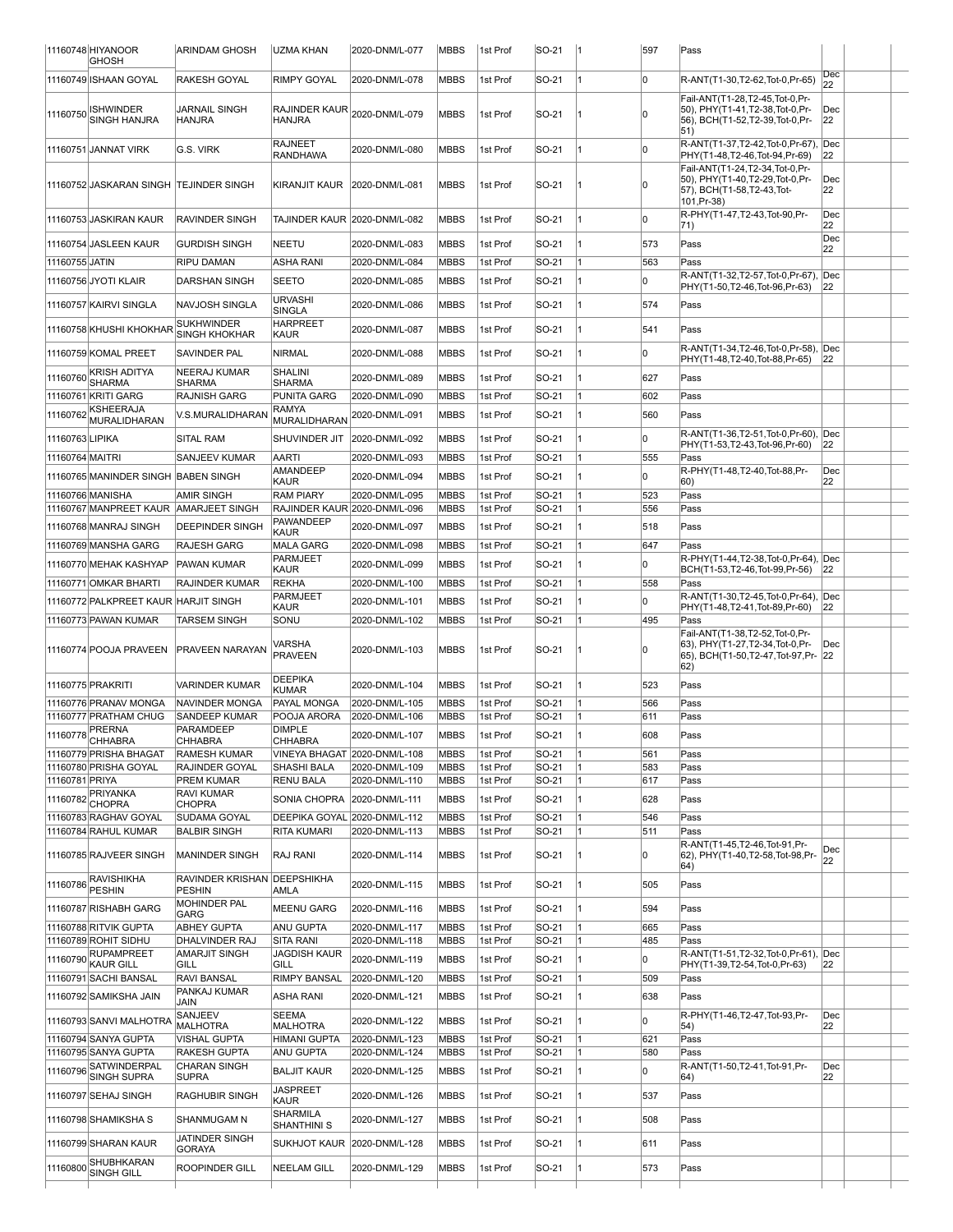|                 | 11160748 HIYANOOR<br>GHOSH                      | <b>ARINDAM GHOSH</b>                         | <b>IUZMA KHAN</b>                                             | 2020-DNM/L-077 | <b>MBBS</b>  | 1st Prof             | SO-21          | 11 | 597        | Pass                                                                                                               |           |  |
|-----------------|-------------------------------------------------|----------------------------------------------|---------------------------------------------------------------|----------------|--------------|----------------------|----------------|----|------------|--------------------------------------------------------------------------------------------------------------------|-----------|--|
|                 | 11160749 ISHAAN GOYAL                           | RAKESH GOYAL                                 | RIMPY GOYAL                                                   | 2020-DNM/L-078 | <b>MBBS</b>  | 1st Prof             | SO-21          |    | l0         | R-ANT(T1-30,T2-62,Tot-0,Pr-65)                                                                                     | Dec<br>22 |  |
| 11160750        | ISHWINDER<br>SINGH HANJRA                       | JARNAIL SINGH<br><b>HANJRA</b>               | $ R$ AJINDER KAUR $\left _{2020}$ -DNM/L-079<br><b>HANJRA</b> |                | <b>MBBS</b>  | 1st Prof             | SO-21          |    | In         | Fail-ANT(T1-28,T2-45,Tot-0,Pr-<br>50), PHY(T1-41,T2-38,Tot-0,Pr-<br>56), BCH(T1-52,T2-39,Tot-0,Pr-<br>$ 51\rangle$ | Dec<br>22 |  |
|                 | 11160751 JANNAT VIRK                            | G.S. VIRK                                    | <b>RAJNEET</b><br><b>RANDHAWA</b>                             | 2020-DNM/L-080 | MBBS         | 1st Prof             | SO-21          |    | l0         | R-ANT(T1-37,T2-42,Tot-0,Pr-67),<br>PHY(T1-48,T2-46,Tot-94,Pr-69)                                                   | Dec<br>22 |  |
|                 | 11160752 JASKARAN SINGH TEJINDER SINGH          |                                              | KIRANJIT KAUR                                                 | 2020-DNM/L-081 | MBBS         | 1st Prof             | SO-21          |    | In         | Fail-ANT(T1-24,T2-34,Tot-0,Pr-<br>50), PHY(T1-40,T2-29,Tot-0,Pr-<br>57), BCH(T1-58,T2-43,Tot-<br>101, Pr-38)       | Dec<br>22 |  |
|                 | 11160753 JASKIRAN KAUR                          | RAVINDER SINGH                               | TAJINDER KAUR 2020-DNM/L-082                                  |                | MBBS         | 1st Prof             | SO-21          |    | l0         | R-PHY(T1-47,T2-43,Tot-90,Pr-<br>71)                                                                                | Dec<br>22 |  |
|                 | 11160754 JASLEEN KAUR                           | <b>GURDISH SINGH</b>                         | NEETU                                                         | 2020-DNM/L-083 | MBBS         | 1st Prof             | SO-21          |    | 573        | Pass                                                                                                               | Dec<br>22 |  |
| 11160755 JATIN  |                                                 | <b>RIPU DAMAN</b>                            | <b>ASHA RANI</b>                                              | 2020-DNM/L-084 | <b>MBBS</b>  | 1st Prof             | SO-21          | 11 | 563        | Pass                                                                                                               |           |  |
|                 | 11160756 JYOTI KLAIR                            | <b>DARSHAN SINGH</b>                         | <b>SEETO</b>                                                  | 2020-DNM/L-085 | MBBS         | 1st Prof             | SO-21          |    | O          | R-ANT(T1-32,T2-57,Tot-0,Pr-67),<br>PHY(T1-50,T2-46,Tot-96,Pr-63)                                                   | Dec<br>22 |  |
|                 | 11160757 KAIRVI SINGLA                          | NAVJOSH SINGLA                               | <b>URVASHI</b><br>SINGLA                                      | 2020-DNM/L-086 | MBBS         | 1st Prof             | SO-21          |    | 574        | Pass                                                                                                               |           |  |
|                 | 11160758 KHUSHI KHOKHAR                         | <b>SUKHWINDER</b><br><b>SINGH KHOKHAR</b>    | <b>HARPREET</b><br>KAUR                                       | 2020-DNM/L-087 | MBBS         | 1st Prof             | SO-21          |    | 541        | Pass                                                                                                               |           |  |
|                 | 11160759 KOMAL PREET                            | SAVINDER PAL                                 | NIRMAL                                                        | 2020-DNM/L-088 | MBBS         | 1st Prof             | SO-21          |    | ln.        | R-ANT(T1-34,T2-46,Tot-0,Pr-58),<br>PHY(T1-48,T2-40,Tot-88,Pr-65)                                                   | Dec<br>22 |  |
| 11160760        | KRISH ADITYA<br><b>SHARMA</b>                   | <b>NEERAJ KUMAR</b><br><b>SHARMA</b>         | SHALINI<br>SHARMA                                             | 2020-DNM/L-089 | MBBS         | 1st Prof             | SO-21          |    | 627        | Pass                                                                                                               |           |  |
|                 | 11160761 KRITI GARG                             | <b>RAJNISH GARG</b>                          | PUNITA GARG                                                   | 2020-DNM/L-090 | <b>MBBS</b>  | 1st Prof             | SO-21          |    | 602        | Pass                                                                                                               |           |  |
| 1116076         | KSHEERAJA<br>MURALIDHARAN                       | V.S.MURALIDHARAN                             | <b>RAMYA</b><br>MURALIDHARAN                                  | 2020-DNM/L-091 | <b>MBBS</b>  | 1st Prof             | SO-21          |    | 560        | Pass                                                                                                               |           |  |
| 11160763 LIPIKA |                                                 | <b>SITAL RAM</b>                             | SHUVINDER JIT                                                 | 2020-DNM/L-092 | MBBS         | 1st Prof             | SO-21          |    | l0         | R-ANT(T1-36,T2-51,Tot-0,Pr-60),<br>PHY(T1-53,T2-43,Tot-96,Pr-60)                                                   | Dec<br>22 |  |
| 11160764 MAITRI |                                                 | SANJEEV KUMAR                                | <b>AARTI</b>                                                  | 2020-DNM/L-093 | MBBS         | 1st Prof             | SO-21          |    | 555        | Pass                                                                                                               |           |  |
|                 | 11160765 MANINDER SINGH BABEN SINGH             |                                              | AMANDEEP                                                      | 2020-DNM/L-094 | MBBS         | 1st Prof             | SO-21          |    | O          | R-PHY(T1-48.T2-40.Tot-88.Pr-                                                                                       | Dec       |  |
|                 | 11160766 MANISHA                                | <b>AMIR SINGH</b>                            | KAUR<br><b>RAM PIARY</b>                                      | 2020-DNM/L-095 | MBBS         | 1st Prof             | SO-21          |    | 523        | 60)<br>Pass                                                                                                        | 22        |  |
|                 | 11160767 MANPREET KAUR AMARJEET SINGH           |                                              | RAJINDER KAUR 2020-DNM/L-096                                  |                | MBBS         | 1st Prof             | SO-21          |    | 556        | Pass                                                                                                               |           |  |
|                 | 11160768 MANRAJ SINGH                           | <b>DEEPINDER SINGH</b>                       | PAWANDEEP<br>KAUR                                             | 2020-DNM/L-097 | MBBS         | 1st Prof             | SO-21          |    | 518        | Pass                                                                                                               |           |  |
|                 | 11160769 MANSHA GARG                            | <b>RAJESH GARG</b>                           | <b>MALA GARG</b>                                              | 2020-DNM/L-098 | <b>MBBS</b>  | 1st Prof             | SO-21          |    | 647        | Pass                                                                                                               |           |  |
|                 | 11160770 MEHAK KASHYAP                          | PAWAN KUMAR                                  | <b>PARMJEET</b><br>KAUR                                       | 2020-DNM/L-099 | MBBS         | 1st Prof             | SO-21          |    | l0         | R-PHY(T1-44,T2-38,Tot-0,Pr-64),<br>BCH(T1-53,T2-46,Tot-99,Pr-56)                                                   | Dec<br>22 |  |
|                 | 11160771 OMKAR BHARTI                           | <b>RAJINDER KUMAR</b>                        | <b>REKHA</b>                                                  | 2020-DNM/L-100 | <b>MBBS</b>  | 1st Prof             | SO-21          |    | 558        | Pass                                                                                                               |           |  |
|                 | 11160772 PALKPREET KAUR HARJIT SINGH            |                                              | PARMJEET<br>KAUR                                              | 2020-DNM/L-101 | <b>MBBS</b>  | 1st Prof             | SO-21          |    | l0         | R-ANT(T1-30,T2-45,Tot-0,Pr-64),<br>PHY(T1-48,T2-41,Tot-89,Pr-60)                                                   | Dec<br>22 |  |
|                 | 11160773 PAWAN KUMAR                            | TARSEM SINGH                                 | SONU                                                          | 2020-DNM/L-102 | <b>MBBS</b>  | 1st Prof             | SO-21          |    | 495        | Pass                                                                                                               |           |  |
|                 | 11160774 POOJA PRAVEEN                          | <b>PRAVEEN NARAYAN</b>                       | VARSHA<br>PRAVEEN                                             | 2020-DNM/L-103 | MBBS         | 1st Prof             | SO-21          |    | ۱O         | Fail-ANT(T1-38,T2-52,Tot-0,Pr-<br>63), PHY(T1-27, T2-34, Tot-0, Pr-<br>65), BCH(T1-50,T2-47,Tot-97,Pr-<br> 62)     | Dec<br>22 |  |
|                 | 11160775 PRAKRITI                               | <b>VARINDER KUMAR</b>                        | DEEPIKA<br>KUMAR                                              | 2020-DNM/L-104 | <b>MBBS</b>  | 1st Prof             | SO-21          |    | 523        | Pass                                                                                                               |           |  |
|                 | 11160776 PRANAV MONGA                           | NAVINDER MONGA                               | PAYAL MONGA                                                   | 2020-DNM/L-105 | <b>MBBS</b>  | 1st Prof             | SO-21          |    | 566        | Pass                                                                                                               |           |  |
|                 | 11160777 PRATHAM CHUG<br><b>PRERNA</b>          | SANDEEP KUMAR<br>PARAMDEEP                   | POOJA ARORA<br><b>DIMPLE</b>                                  | 2020-DNM/L-106 | MBBS         | 1st Prof             | SO-21          |    | 611        | Pass                                                                                                               |           |  |
|                 | 11160778 CHHABRA                                | CHHABRA                                      | <b>CHHABRA</b>                                                | 2020-DNM/L-107 | <b>MBBS</b>  | 1st Prof             | SO-21          |    | 608        | Pass                                                                                                               |           |  |
|                 | 11160779 PRISHA BHAGAT<br>11160780 PRISHA GOYAL | <b>RAMESH KUMAR</b><br>RAJINDER GOYAL        | VINEYA BHAGAT 2020-DNM/L-108<br><b>SHASHI BALA</b>            | 2020-DNM/L-109 | MBBS<br>MBBS | 1st Prof<br>1st Prof | SO-21<br>SO-21 | 11 | 561<br>583 | Pass<br>Pass                                                                                                       |           |  |
| 11160781 PRIYA  |                                                 | PREM KUMAR                                   | <b>RENU BALA</b>                                              | 2020-DNM/L-110 | <b>MBBS</b>  | 1st Prof             | SO-21          | 11 | 617        | Pass                                                                                                               |           |  |
| 11160782        | PRIYANKA<br><b>CHOPRA</b>                       | <b>RAVI KUMAR</b><br><b>CHOPRA</b>           | SONIA CHOPRA                                                  | 2020-DNM/L-111 | <b>MBBS</b>  | 1st Prof             | SO-21          |    | 628        | Pass                                                                                                               |           |  |
|                 | 11160783 RAGHAV GOYAL                           | <b>SUDAMA GOYAL</b>                          | DEEPIKA GOYAL 2020-DNM/L-112                                  |                | <b>MBBS</b>  | 1st Prof             | SO-21          | 1  | 546        | Pass                                                                                                               |           |  |
|                 | 11160784 RAHUL KUMAR                            | <b>BALBIR SINGH</b>                          | <b>RITA KUMARI</b>                                            | 2020-DNM/L-113 | <b>MBBS</b>  | 1st Prof             | SO-21          |    | 511        | Pass<br>R-ANT(T1-45.T2-46.Tot-91.Pr-                                                                               |           |  |
|                 | 11160785 RAJVEER SINGH                          | MANINDER SINGH                               | RAJ RANI                                                      | 2020-DNM/L-114 | MBBS         | 1st Prof             | SO-21          |    | 0          | 62), PHY(T1-40, T2-58, Tot-98, Pr-<br>$ 64\rangle$                                                                 | Dec<br>22 |  |
| 11160786 PESHIN | RAVISHIKHA                                      | RAVINDER KRISHAN DEEPSHIKHA<br><b>PESHIN</b> | AMLA                                                          | 2020-DNM/L-115 | MBBS         | 1st Prof             | SO-21          |    | 505        | Pass                                                                                                               |           |  |
|                 | 11160787 RISHABH GARG                           | MOHINDER PAL<br>GARG                         | <b>MEENU GARG</b>                                             | 2020-DNM/L-116 | MBBS         | 1st Prof             | SO-21          |    | 594        | Pass                                                                                                               |           |  |
|                 | 11160788 RITVIK GUPTA                           | <b>ABHEY GUPTA</b>                           | <b>ANU GUPTA</b>                                              | 2020-DNM/L-117 | <b>MBBS</b>  | 1st Prof             | SO-21          | 11 | 665        | Pass                                                                                                               |           |  |
|                 | 11160789 ROHIT SIDHU                            | DHALVINDER RAJ                               | <b>SITA RANI</b>                                              | 2020-DNM/L-118 | MBBS         | 1st Prof             | SO-21          |    | 485        | Pass                                                                                                               |           |  |
| 11160790        | <b>RUPAMPREET</b><br><b>KAUR GILL</b>           | <b>AMARJIT SINGH</b><br><b>GILL</b>          | <b>JAGDISH KAUR</b><br>GILL                                   | 2020-DNM/L-119 | MBBS         | 1st Prof             | SO-21          |    | O          | R-ANT(T1-51,T2-32,Tot-0,Pr-61), Dec<br>PHY(T1-39,T2-54,Tot-0,Pr-63)                                                | 22        |  |
|                 | 11160791 SACHI BANSAL                           | RAVI BANSAL                                  | <b>RIMPY BANSAL</b>                                           | 2020-DNM/L-120 | MBBS         | 1st Prof             | SO-21          |    | 509        | Pass                                                                                                               |           |  |
|                 | 11160792 SAMIKSHA JAIN                          | PANKAJ KUMAR<br>JAIN                         | <b>ASHA RANI</b>                                              | 2020-DNM/L-121 | MBBS         | 1st Prof             | SO-21          |    | 638        | Pass                                                                                                               |           |  |
|                 | 11160793 SANVI MALHOTRA                         | SANJEEV<br><b>MALHOTRA</b>                   | <b>SEEMA</b><br><b>MALHOTRA</b>                               | 2020-DNM/L-122 | MBBS         | 1st Prof             | SO-21          |    | l0         | R-PHY(T1-46,T2-47,Tot-93,Pr-                                                                                       | Dec<br>22 |  |
|                 | 11160794 SANYA GUPTA                            | <b>VISHAL GUPTA</b>                          | HIMANI GUPTA                                                  | 2020-DNM/L-123 | <b>MBBS</b>  | 1st Prof             | SO-21          | 11 | 621        | $ 54\rangle$<br>Pass                                                                                               |           |  |
|                 | 11160795 SANYA GUPTA                            | RAKESH GUPTA                                 | <b>ANU GUPTA</b>                                              | 2020-DNM/L-124 | MBBS         | 1st Prof             | SO-21          |    | 580        | Pass                                                                                                               |           |  |
| 11160796        | SATWINDERPAL<br>SINGH SUPRA                     | <b>CHARAN SINGH</b><br><b>SUPRA</b>          | <b>BALJIT KAUR</b>                                            | 2020-DNM/L-125 | MBBS         | 1st Prof             | SO-21          |    | l0         | R-ANT(T1-50,T2-41,Tot-91,Pr-<br>$ 64\rangle$                                                                       | Dec<br>22 |  |
|                 | 11160797 SEHAJ SINGH                            | RAGHUBIR SINGH                               | <b>JASPREET</b><br>KAUR                                       | 2020-DNM/L-126 | MBBS         | 1st Prof             | SO-21          |    | 537        | Pass                                                                                                               |           |  |
|                 | 11160798 SHAMIKSHA S                            | SHANMUGAM N                                  | <b>SHARMILA</b>                                               | 2020-DNM/L-127 | MBBS         | 1st Prof             | SO-21          |    | 508        | Pass                                                                                                               |           |  |
|                 | 11160799 SHARAN KAUR                            | JATINDER SINGH                               | <b>SHANTHINI S</b><br><b>SUKHJOT KAUR</b>                     | 2020-DNM/L-128 | MBBS         | 1st Prof             | SO-21          |    | 611        | Pass                                                                                                               |           |  |
|                 | SHUBHKARAN                                      | <b>GORAYA</b>                                |                                                               |                |              |                      |                |    |            |                                                                                                                    |           |  |
| 11160800        | SINGH GILL                                      | ROOPINDER GILL                               | <b>NEELAM GILL</b>                                            | 2020-DNM/L-129 | MBBS         | 1st Prof             | SO-21          |    | 573        | Pass                                                                                                               |           |  |
|                 |                                                 |                                              |                                                               |                |              |                      |                |    |            |                                                                                                                    |           |  |